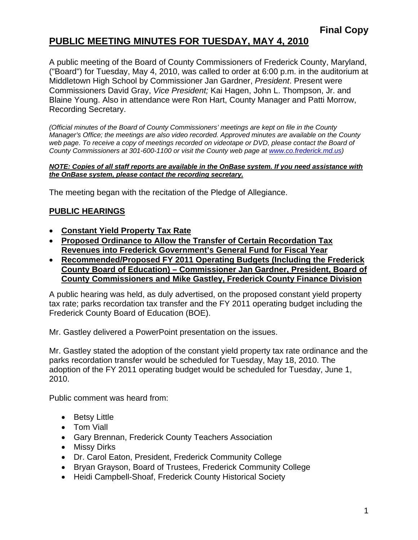### **PUBLIC MEETING MINUTES FOR TUESDAY, MAY 4, 2010**

A public meeting of the Board of County Commissioners of Frederick County, Maryland, ("Board") for Tuesday, May 4, 2010, was called to order at 6:00 p.m. in the auditorium at Middletown High School by Commissioner Jan Gardner, *President*. Present were Commissioners David Gray, *Vice President;* Kai Hagen, John L. Thompson, Jr. and Blaine Young. Also in attendance were Ron Hart, County Manager and Patti Morrow, Recording Secretary.

*(Official minutes of the Board of County Commissioners' meetings are kept on file in the County Manager's Office; the meetings are also video recorded. Approved minutes are available on the County*  web page. To receive a copy of meetings recorded on videotape or DVD, please contact the Board of *County Commissioners at 301-600-1100 or visit the County web page at [www.co.frederick.md.us](http://www.co.frederick.md.us/))* 

#### *NOTE: Copies of all staff reports are available in the OnBase system. If you need assistance with the OnBase system, please contact the recording secretary.*

The meeting began with the recitation of the Pledge of Allegiance.

#### **PUBLIC HEARINGS**

- **Constant Yield Property Tax Rate**
- **Proposed Ordinance to Allow the Transfer of Certain Recordation Tax Revenues into Frederick Government's General Fund for Fiscal Year**
- **Recommended/Proposed FY 2011 Operating Budgets (Including the Frederick County Board of Education) – Commissioner Jan Gardner, President, Board of County Commissioners and Mike Gastley, Frederick County Finance Division**

A public hearing was held, as duly advertised, on the proposed constant yield property tax rate; parks recordation tax transfer and the FY 2011 operating budget including the Frederick County Board of Education (BOE).

Mr. Gastley delivered a PowerPoint presentation on the issues.

Mr. Gastley stated the adoption of the constant yield property tax rate ordinance and the parks recordation transfer would be scheduled for Tuesday, May 18, 2010. The adoption of the FY 2011 operating budget would be scheduled for Tuesday, June 1, 2010.

Public comment was heard from:

- Betsy Little
- Tom Viall
- Gary Brennan, Frederick County Teachers Association
- Missy Dirks
- Dr. Carol Eaton, President, Frederick Community College
- Bryan Grayson, Board of Trustees, Frederick Community College
- Heidi Campbell-Shoaf, Frederick County Historical Society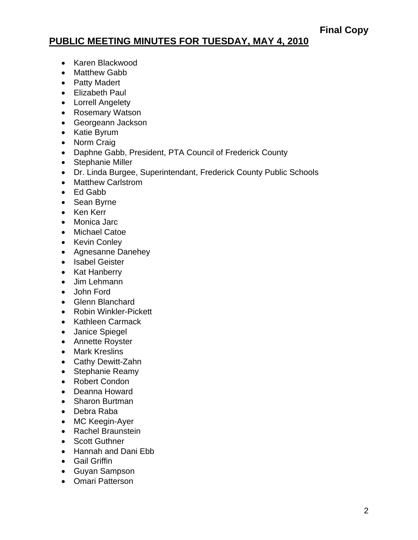### **PUBLIC MEETING MINUTES FOR TUESDAY, MAY 4, 2010**

- Karen Blackwood
- Matthew Gabb
- Patty Madert
- Elizabeth Paul
- Lorrell Angelety
- Rosemary Watson
- Georgeann Jackson
- Katie Byrum
- Norm Craig
- Daphne Gabb, President, PTA Council of Frederick County
- Stephanie Miller
- Dr. Linda Burgee, Superintendant, Frederick County Public Schools
- Matthew Carlstrom
- Ed Gabb
- Sean Byrne
- Ken Kerr
- Monica Jarc
- Michael Catoe
- Kevin Conley
- Agnesanne Danehey
- Isabel Geister
- Kat Hanberry
- Jim Lehmann
- John Ford
- Glenn Blanchard
- Robin Winkler-Pickett
- Kathleen Carmack
- Janice Spiegel
- Annette Royster
- Mark Kreslins
- Cathy Dewitt-Zahn
- Stephanie Reamy
- Robert Condon
- Deanna Howard
- Sharon Burtman
- Debra Raba
- MC Keegin-Ayer
- Rachel Braunstein
- Scott Guthner
- Hannah and Dani Ebb
- Gail Griffin
- Guyan Sampson
- Omari Patterson